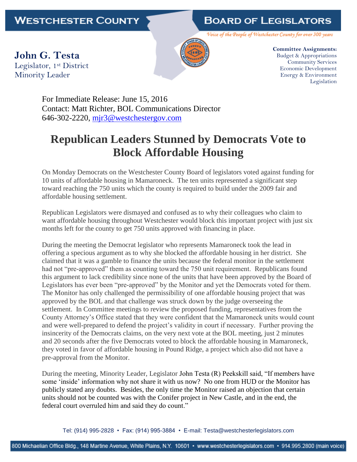## **BOARD OF LEGISLATORS**

Voice of the People of Westchester County for over 300 years

**John G. Testa** Legislator, 1st District Minority Leader



**Committee Assignments:** Budget & Appropriations Community Services Economic Development Energy & Environment Legislation

For Immediate Release: June 15, 2016 Contact: Matt Richter, BOL Communications Director 646-302-2220, [mjr3@westchestergov.com](mailto:mjr3@westchestergov.com)

## **Republican Leaders Stunned by Democrats Vote to Block Affordable Housing**

On Monday Democrats on the Westchester County Board of legislators voted against funding for 10 units of affordable housing in Mamaroneck. The ten units represented a significant step toward reaching the 750 units which the county is required to build under the 2009 fair and affordable housing settlement.

Republican Legislators were dismayed and confused as to why their colleagues who claim to want affordable housing throughout Westchester would block this important project with just six months left for the county to get 750 units approved with financing in place.

During the meeting the Democrat legislator who represents Mamaroneck took the lead in offering a specious argument as to why she blocked the affordable housing in her district. She claimed that it was a gamble to finance the units because the federal monitor in the settlement had not "pre-approved" them as counting toward the 750 unit requirement. Republicans found this argument to lack credibility since none of the units that have been approved by the Board of Legislators has ever been "pre-approved" by the Monitor and yet the Democrats voted for them. The Monitor has only challenged the permissibility of one affordable housing project that was approved by the BOL and that challenge was struck down by the judge overseeing the settlement. In Committee meetings to review the proposed funding, representatives from the County Attorney's Office stated that they were confident that the Mamaroneck units would count and were well-prepared to defend the project's validity in court if necessary. Further proving the insincerity of the Democrats claims, on the very next vote at the BOL meeting, just 2 minutes and 20 seconds after the five Democrats voted to block the affordable housing in Mamaroneck, they voted in favor of affordable housing in Pound Ridge, a project which also did not have a pre-approval from the Monitor.

During the meeting, Minority Leader, Legislator John Testa (R) Peekskill said, "If members have some 'inside' information why not share it with us now? No one from HUD or the Monitor has publicly stated any doubts. Besides, the only time the Monitor raised an objection that certain units should not be counted was with the Conifer project in New Castle, and in the end, the federal court overruled him and said they do count."

Tel: (914) 995-2828 • Fax: (914) 995-3884 • E-mail: Testa@westchesterlegislators.com